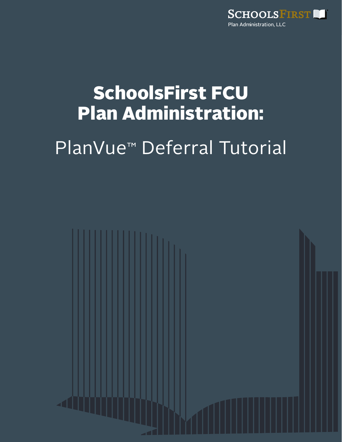

# SchoolsFirst FCU Plan Administration: PlanVue™ Deferral Tutorial

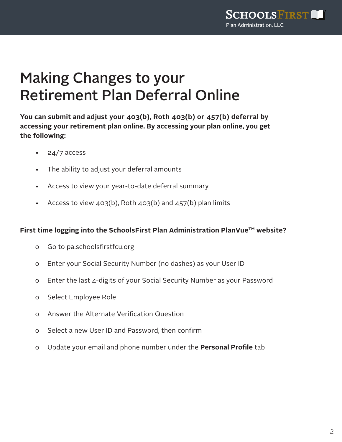## Making Changes to your Retirement Plan Deferral Online

**You can submit and adjust your 403(b), Roth 403(b) or 457(b) deferral by accessing your retirement plan online. By accessing your plan online, you get the following:**

- $\cdot$  24/7 access
- The ability to adjust your deferral amounts
- Access to view your year-to-date deferral summary
- Access to view  $403(b)$ , Roth  $403(b)$  and  $457(b)$  plan limits

#### First time logging into the SchoolsFirst Plan Administration PlanVue™ website?

- o Go to pa.schoolsfirstfcu.org
- o Enter your Social Security Number (no dashes) as your User ID
- o Enter the last 4-digits of your Social Security Number as your Password
- o Select Employee Role
- o Answer the Alternate Verification Question
- o Select a new User ID and Password, then confirm
- o Update your email and phone number under the **Personal Profile** tab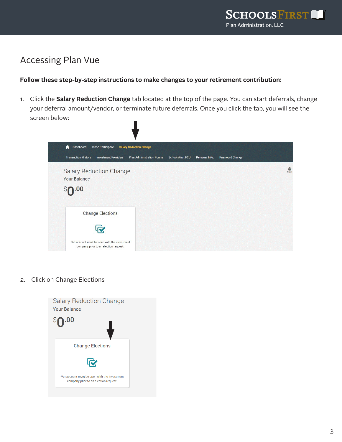

### Accessing Plan Vue

**Follow these step-by-step instructions to make changes to your retirement contribution:**

1. Click the **Salary Reduction Change** tab located at the top of the page. You can start deferrals, change your deferral amount/vendor, or terminate future deferrals. Once you click the tab, you will see the screen below:



2. Click on Change Elections

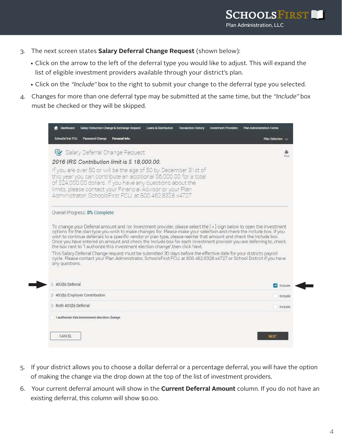- 3. The next screen states **Salary Deferral Change Request** (shown below):
	- Click on the arrow to the left of the deferral type you would like to adjust. This will expand the list of eligible investment providers available through your district's plan.
	- Click on the "Include" box to the right to submit your change to the deferral type you selected.
- 4. Changes for more than one deferral type may be submitted at the same time, but the "Include" box must be checked or they will be skipped.

| Ge Salary Deferral Change Request:                                                                                                                                                                                                                                                                                                                                                                                                                                                                                                                                                                                                                                                                                                                                                                                                                                                                                                                                      | Print            |
|-------------------------------------------------------------------------------------------------------------------------------------------------------------------------------------------------------------------------------------------------------------------------------------------------------------------------------------------------------------------------------------------------------------------------------------------------------------------------------------------------------------------------------------------------------------------------------------------------------------------------------------------------------------------------------------------------------------------------------------------------------------------------------------------------------------------------------------------------------------------------------------------------------------------------------------------------------------------------|------------------|
| 2016 IRS Contribution limit is \$ 18,000.00.                                                                                                                                                                                                                                                                                                                                                                                                                                                                                                                                                                                                                                                                                                                                                                                                                                                                                                                            |                  |
| If you are over 50 or will be the age of 50 by December 31st of<br>this year you can contribute an additional \$6,000.00 for a total<br>of \$24,000.00 dollars. If you have any questions about the<br>limits, please contact your Financial Advisor or your Plan<br>Administrator, SchoolsFirst FCU, at 800.462.8328 x4727                                                                                                                                                                                                                                                                                                                                                                                                                                                                                                                                                                                                                                             |                  |
|                                                                                                                                                                                                                                                                                                                                                                                                                                                                                                                                                                                                                                                                                                                                                                                                                                                                                                                                                                         |                  |
|                                                                                                                                                                                                                                                                                                                                                                                                                                                                                                                                                                                                                                                                                                                                                                                                                                                                                                                                                                         |                  |
|                                                                                                                                                                                                                                                                                                                                                                                                                                                                                                                                                                                                                                                                                                                                                                                                                                                                                                                                                                         |                  |
|                                                                                                                                                                                                                                                                                                                                                                                                                                                                                                                                                                                                                                                                                                                                                                                                                                                                                                                                                                         |                  |
|                                                                                                                                                                                                                                                                                                                                                                                                                                                                                                                                                                                                                                                                                                                                                                                                                                                                                                                                                                         | <b>C</b> Include |
|                                                                                                                                                                                                                                                                                                                                                                                                                                                                                                                                                                                                                                                                                                                                                                                                                                                                                                                                                                         | Include          |
| Overall Progress: 0% Complete<br>To change your Deferral amount and /or Investment provider, please select the [>] sign below to open the Investment<br>options for the plan type you wish to make changes for. Please make your selection and check the Include box. If you<br>wish to continue deferrals to a specific vendor or plan type, please reenter that amount and check the Include box.<br>Once you have entered an amount and check the Include box for each Investment provider you are deferring to, check<br>the box next to "I authorize this investment election change", then click Next.<br>This Salary Deferral Change request must be submitted 30 days before the effective date for your districts payroll<br>cycle. Please contact your Plan Administrator, SchoolsFirst FCU, at 800.462.8328 x4727 or School District if you have<br>any questions.<br>$\geq$ 403(b) Deferral<br>> 403(b) Employer Contribution<br>$\ge$ Roth 403(b) Deferral | Include          |

- 5. If your district allows you to choose a dollar deferral or a percentage deferral, you will have the option of making the change via the drop down at the top of the list of investment providers.
- 6. Your current deferral amount will show in the **Current Deferral Amount** column. If you do not have an existing deferral, this column will show \$0.00.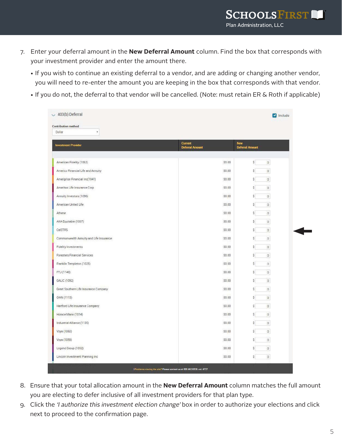- 7. Enter your deferral amount in the **New Deferral Amount** column. Find the box that corresponds with your investment provider and enter the amount there.
	- If you wish to continue an existing deferral to a vendor, and are adding or changing another vendor, you will need to re-enter the amount you are keeping in the box that corresponds with that vendor.
	- If you do not, the deferral to that vendor will be cancelled. (Note: must retain ER & Roth if applicable)

| <b>Contribution method</b>              |                                          |        |                              |
|-----------------------------------------|------------------------------------------|--------|------------------------------|
| 7<br>Dollar                             |                                          |        |                              |
| <b>Investment Provider</b>              | <b>Current</b><br><b>Deferral Amount</b> | New    | <b>Deferral Amount</b>       |
| American Fidelity (1062)                |                                          | \$0.00 | \$<br>$\mathbf{0}$           |
| Americo Financial Life and Annuity      |                                          | \$0.00 | S.<br>$\overline{0}$         |
| Ameriprise Financial Inc(1041)          |                                          | \$0.00 | S<br>$\mathbf{0}$            |
| Ameritas Life Insurance Corp            |                                          | \$0.00 | \$<br>$\mathbf{0}$           |
| Annuity Investors (1096)                |                                          | \$0.00 | \$<br>$\circ$                |
| American United Life                    |                                          | \$0.00 | S.<br>$\mathbf{0}$           |
| Athene                                  |                                          | \$0.00 | S.<br>$\mathbf{0}$           |
| AXA Equitable (1067)                    |                                          | \$0.00 | S.<br>$\mathbf{0}$           |
| CalSTRS                                 |                                          | \$0.00 | Ś.<br>$\mathfrak o$          |
| Commonwealth Annuity and Life Insurance |                                          | \$0.00 | $\mathbb{O}$<br>S            |
| <b>Fidelity Investments</b>             |                                          | \$0.00 | $\overline{0}$<br>Ŝ.         |
| <b>Foresters Financial Services</b>     |                                          | \$0.00 | \$<br>$\mathbb O$            |
| Franklin Templeton (1025)               |                                          | \$0.00 | S.<br>$\theta$               |
| FTJ (1148)                              |                                          | \$0.00 | $\mathsf{S}$<br>$\mathbf{0}$ |
| GALIC (1092)                            |                                          | \$0.00 | $\mathbf 0$<br>S.            |
| Great Southern Life Insurance Company   |                                          | \$0.00 | Ŝ.<br>$\boldsymbol{0}$       |
| GWN (1113)                              |                                          | \$0.00 | \$<br>$\mathbf 0$            |
| Hartford Life Insurance Company         |                                          | \$0.00 | Ŝ.<br>$\mathbf{0}$           |
| Horace Mann (1014)                      |                                          | \$0.00 | S.<br>$\mathbb O$            |
| Industrial-Alliance (1135)              |                                          | \$0.00 | \$<br>$\theta$               |
| Voya (1060)                             |                                          | \$0.00 | Ś.<br>$\overline{0}$         |
| Voya (1059)                             |                                          | \$0.00 | \$<br>$\mathbb O$            |
| Legend Group (1052)                     |                                          | \$0.00 | S.<br>$\mathbf{0}$           |
| Lincoln Investment Planning Inc         |                                          | \$0.00 | \$<br>$\mathbf{0}$           |

- 8. Ensure that your total allocation amount in the **New Deferral Amount** column matches the full amount you are electing to defer inclusive of all investment providers for that plan type.
- 9. Click the 'I authorize this investment election change' box in order to authorize your elections and click next to proceed to the confirmation page.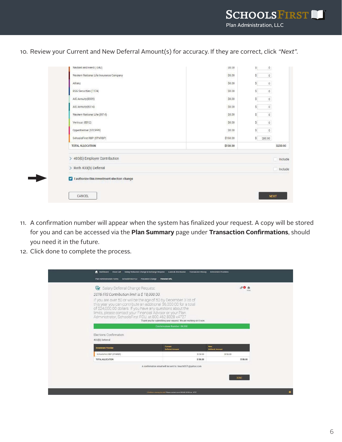10. Review your Current and New Deferral Amount(s) for accuracy. If they are correct, click "Next".

| Waddell and Heed (1042)                     | <b>SU.UU</b> | S.<br>$\vert 0 \vert$                  |
|---------------------------------------------|--------------|----------------------------------------|
| Western National Life Insurance Company     | S0.00        | Ś<br>$\mathbb{O}$                      |
| Allianz                                     | \$0.00       | Ŝ<br>$\theta$                          |
| RSG Securities (1174)                       | \$0.00       | $\mathbb O$<br>S                       |
| AIG Annuity (8939)                          | \$0.00       | Ŝ<br>$\begin{array}{c} 0 \end{array}$  |
| AIG Annuity (8014)                          | \$0.00       | Ś.<br>$\begin{array}{c} 0 \end{array}$ |
| Western National Life (8014)                | \$0.00       | \$<br>$\begin{array}{c} 0 \end{array}$ |
| Veritrust (8012)                            | \$0.00       | s<br>$\begin{array}{c} 0 \end{array}$  |
| Oppenheimer (9TOPPE)                        | \$0.00       | \$<br>$\mathbb O$                      |
| SchoolsFirst RBP (9TNRBP)                   | \$150.00     | S<br>200.00                            |
| TOTAL ALLOCATION                            | \$150.00     | \$250.00                               |
| 403(b) Employer Contribution                |              | Include                                |
| > Roth 403(b) Deferral                      |              | Include                                |
| I authorize this investment election change |              |                                        |
|                                             |              |                                        |
| CANCEL                                      |              | <b>NEXT</b>                            |

- 11. A confirmation number will appear when the system has finalized your request. A copy will be stored for you and can be accessed via the **Plan Summary** page under **Transaction Confirmations**, should you need it in the future.
- 12. Click done to complete the process.

| Salary Deferral Change Request<br>2016 IRS Contribution limit is \$ 18,000.00. | If you are over 50 or will be the age of 50 by December 31st of<br>this year you can contribute an additional \$6,000.00 for a total<br>of \$24,000.00 dollars. If you have any questions about the<br>limits, please contact your Financial Advisor or your Plan<br>Administrator, SchoolsFirst FCU, at 800.462 8328 x4727<br>Thank you for submitting your request. We are working on it now. | <b>00 A</b><br>Print   |
|--------------------------------------------------------------------------------|-------------------------------------------------------------------------------------------------------------------------------------------------------------------------------------------------------------------------------------------------------------------------------------------------------------------------------------------------------------------------------------------------|------------------------|
|                                                                                | <b>Confirmation Number 86308</b>                                                                                                                                                                                                                                                                                                                                                                |                        |
| Elections Confirmation                                                         |                                                                                                                                                                                                                                                                                                                                                                                                 |                        |
| 403(b) Deferral<br><b>Investment Provider</b>                                  | Current<br><b>Deferral Amount</b>                                                                                                                                                                                                                                                                                                                                                               | New<br>Deferral Amount |
| SchoolsFirst RBP (9TNRBP)                                                      | \$150.00                                                                                                                                                                                                                                                                                                                                                                                        | \$156.00               |
| TOTAL ALLOCATION                                                               | \$150.00<br>A confirmation email will be sent to: beach0371@yahoo.com                                                                                                                                                                                                                                                                                                                           | \$156.00               |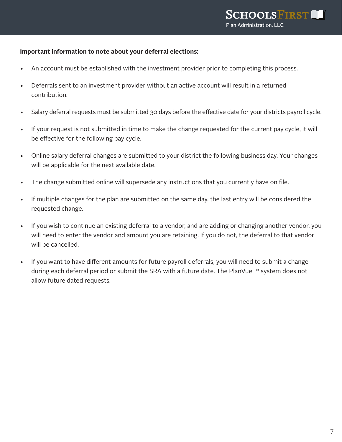#### **Important information to note about your deferral elections:**

- An account must be established with the investment provider prior to completing this process.
- Deferrals sent to an investment provider without an active account will result in a returned contribution.
- Salary deferral requests must be submitted 30 days before the effective date for your districts payroll cycle.
- If your request is not submitted in time to make the change requested for the current pay cycle, it will be effective for the following pay cycle.
- Online salary deferral changes are submitted to your district the following business day. Your changes will be applicable for the next available date.
- The change submitted online will supersede any instructions that you currently have on file.
- If multiple changes for the plan are submitted on the same day, the last entry will be considered the requested change.
- If you wish to continue an existing deferral to a vendor, and are adding or changing another vendor, you will need to enter the vendor and amount you are retaining. If you do not, the deferral to that vendor will be cancelled.
- If you want to have different amounts for future payroll deferrals, you will need to submit a change during each deferral period or submit the SRA with a future date. The PlanVue ™ system does not allow future dated requests.